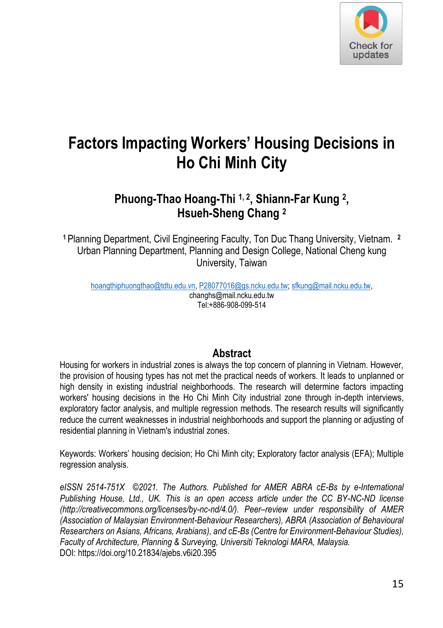

# **Factors Impacting Workers' Housing Decisions in Ho Chi Minh City**

# **Phuong-Thao Hoang-Thi 1, 2 , Shiann-Far Kung <sup>2</sup> , Hsueh-Sheng Chang <sup>2</sup>**

**<sup>1</sup>**Planning Department, Civil Engineering Faculty, Ton Duc Thang University, Vietnam. **<sup>2</sup>** Urban Planning Department, Planning and Design College, National Cheng kung University, Taiwan

[hoangthiphuongthao@tdtu.edu.vn,](mailto:hoangthiphuongthao@tdtu.edu.vn) [P28077016@gs.ncku.edu.tw;](mailto:P28077016@gs.ncku.edu.tw) [sfkung@mail.ncku.edu.tw,](mailto:sfkung@mail.ncku.edu.tw)  changhs@mail.ncku.edu.tw Tel:+886-908-099-514

## **Abstract**

Housing for workers in industrial zones is always the top concern of planning in Vietnam. However, the provision of housing types has not met the practical needs of workers. It leads to unplanned or high density in existing industrial neighborhoods. The research will determine factors impacting workers' housing decisions in the Ho Chi Minh City industrial zone through in-depth interviews, exploratory factor analysis, and multiple regression methods. The research results will significantly reduce the current weaknesses in industrial neighborhoods and support the planning or adjusting of residential planning in Vietnam's industrial zones.

Keywords: Workers' housing decision; Ho Chi Minh city; Exploratory factor analysis (EFA); Multiple regression analysis.

eISSN 2514-751X ©2021. The Authors. Published for AMER ABRA cF-Bs by e-International *Publishing House, Ltd., UK. This is an open access article under the CC BY-NC-ND license (http://creativecommons.org/licenses/by-nc-nd/4.0/). Peer–review under responsibility of AMER (Association of Malaysian Environment-Behaviour Researchers), ABRA (Association of Behavioural Researchers on Asians, Africans, Arabians), and cE-Bs (Centre for Environment-Behaviour Studies), Faculty of Architecture, Planning & Surveying, Universiti Teknologi MARA, Malaysia.*  DOI: https://doi.org/10.21834/ajebs.v6i20.395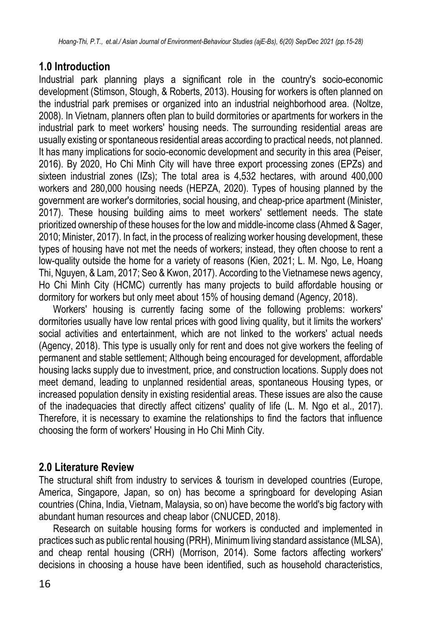# **1.0 Introduction**

Industrial park planning plays a significant role in the country's socio-economic development (Stimson, Stough, & Roberts, 2013). Housing for workers is often planned on the industrial park premises or organized into an industrial neighborhood area. (Noltze, 2008). In Vietnam, planners often plan to build dormitories or apartments for workers in the industrial park to meet workers' housing needs. The surrounding residential areas are usually existing or spontaneous residential areas according to practical needs, not planned. It has many implications for socio-economic development and security in this area (Peiser, 2016). By 2020, Ho Chi Minh City will have three export processing zones (EPZs) and sixteen industrial zones (IZs); The total area is 4,532 hectares, with around 400,000 workers and 280,000 housing needs (HEPZA, 2020). Types of housing planned by the government are worker's dormitories, social housing, and cheap-price apartment (Minister, 2017). These housing building aims to meet workers' settlement needs. The state prioritized ownership of these houses for the low and middle-income class (Ahmed & Sager, 2010; Minister, 2017). In fact, in the process of realizing worker housing development, these types of housing have not met the needs of workers; instead, they often choose to rent a low-quality outside the home for a variety of reasons (Kien, 2021; L. M. Ngo, Le, Hoang Thi, Nguyen, & Lam, 2017; Seo & Kwon, 2017). According to the Vietnamese news agency, Ho Chi Minh City (HCMC) currently has many projects to build affordable housing or dormitory for workers but only meet about 15% of housing demand (Agency, 2018).

Workers' housing is currently facing some of the following problems: workers' dormitories usually have low rental prices with good living quality, but it limits the workers' social activities and entertainment, which are not linked to the workers' actual needs (Agency, 2018). This type is usually only for rent and does not give workers the feeling of permanent and stable settlement; Although being encouraged for development, affordable housing lacks supply due to investment, price, and construction locations. Supply does not meet demand, leading to unplanned residential areas, spontaneous Housing types, or increased population density in existing residential areas. These issues are also the cause of the inadequacies that directly affect citizens' quality of life (L. M. Ngo et al., 2017). Therefore, it is necessary to examine the relationships to find the factors that influence choosing the form of workers' Housing in Ho Chi Minh City.

# **2.0 Literature Review**

The structural shift from industry to services & tourism in developed countries (Europe, America, Singapore, Japan, so on) has become a springboard for developing Asian countries (China, India, Vietnam, Malaysia, so on) have become the world's big factory with abundant human resources and cheap labor (CNUCED, 2018).

Research on suitable housing forms for workers is conducted and implemented in practices such as public rental housing (PRH), Minimum living standard assistance (MLSA), and cheap rental housing (CRH) (Morrison, 2014). Some factors affecting workers' decisions in choosing a house have been identified, such as household characteristics,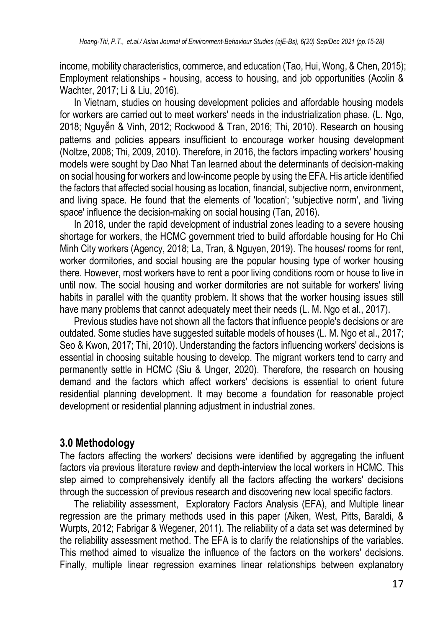income, mobility characteristics, commerce, and education (Tao, Hui, Wong, & Chen, 2015); Employment relationships - housing, access to housing, and job opportunities (Acolin & Wachter, 2017; Li & Liu, 2016).

In Vietnam, studies on housing development policies and affordable housing models for workers are carried out to meet workers' needs in the industrialization phase. (L. Ngo, 2018; Nguyễn & Vinh, 2012; Rockwood & Tran, 2016; Thi, 2010). Research on housing patterns and policies appears insufficient to encourage worker housing development (Noltze, 2008; Thi, 2009, 2010). Therefore, in 2016, the factors impacting workers' housing models were sought by Dao Nhat Tan learned about the determinants of decision-making on social housing for workers and low-income people by using the EFA. His article identified the factors that affected social housing as location, financial, subjective norm, environment, and living space. He found that the elements of 'location'; 'subjective norm', and 'living space' influence the decision-making on social housing (Tan, 2016).

In 2018, under the rapid development of industrial zones leading to a severe housing shortage for workers, the HCMC government tried to build affordable housing for Ho Chi Minh City workers (Agency, 2018; La, Tran, & Nguyen, 2019). The houses/ rooms for rent, worker dormitories, and social housing are the popular housing type of worker housing there. However, most workers have to rent a poor living conditions room or house to live in until now. The social housing and worker dormitories are not suitable for workers' living habits in parallel with the quantity problem. It shows that the worker housing issues still have many problems that cannot adequately meet their needs (L. M. Ngo et al., 2017).

Previous studies have not shown all the factors that influence people's decisions or are outdated. Some studies have suggested suitable models of houses (L. M. Ngo et al., 2017; Seo & Kwon, 2017; Thi, 2010). Understanding the factors influencing workers' decisions is essential in choosing suitable housing to develop. The migrant workers tend to carry and permanently settle in HCMC (Siu & Unger, 2020). Therefore, the research on housing demand and the factors which affect workers' decisions is essential to orient future residential planning development. It may become a foundation for reasonable project development or residential planning adjustment in industrial zones.

# **3.0 Methodology**

The factors affecting the workers' decisions were identified by aggregating the influent factors via previous literature review and depth-interview the local workers in HCMC. This step aimed to comprehensively identify all the factors affecting the workers' decisions through the succession of previous research and discovering new local specific factors.

The reliability assessment, Exploratory Factors Analysis (EFA), and Multiple linear regression are the primary methods used in this paper (Aiken, West, Pitts, Baraldi, & Wurpts, 2012; Fabrigar & Wegener, 2011). The reliability of a data set was determined by the reliability assessment method. The EFA is to clarify the relationships of the variables. This method aimed to visualize the influence of the factors on the workers' decisions. Finally, multiple linear regression examines linear relationships between explanatory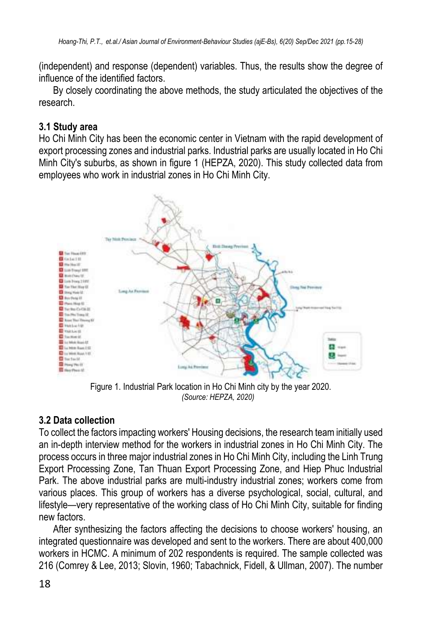(independent) and response (dependent) variables. Thus, the results show the degree of influence of the identified factors.

By closely coordinating the above methods, the study articulated the objectives of the research.

#### **3.1 Study area**

Ho Chi Minh City has been the economic center in Vietnam with the rapid development of export processing zones and industrial parks. Industrial parks are usually located in Ho Chi Minh City's suburbs, as shown in figure 1 (HEPZA, 2020). This study collected data from employees who work in industrial zones in Ho Chi Minh City.



Figure 1. Industrial Park location in Ho Chi Minh city by the year 2020. *(Source: HEPZA, 2020)*

## **3.2 Data collection**

To collect the factors impacting workers' Housing decisions, the research team initially used an in-depth interview method for the workers in industrial zones in Ho Chi Minh City. The process occurs in three major industrial zones in Ho Chi Minh City, including the Linh Trung Export Processing Zone, Tan Thuan Export Processing Zone, and Hiep Phuc Industrial Park. The above industrial parks are multi-industry industrial zones; workers come from various places. This group of workers has a diverse psychological, social, cultural, and lifestyle—very representative of the working class of Ho Chi Minh City, suitable for finding new factors.

After synthesizing the factors affecting the decisions to choose workers' housing, an integrated questionnaire was developed and sent to the workers. There are about 400,000 workers in HCMC. A minimum of 202 respondents is required. The sample collected was 216 (Comrey & Lee, 2013; Slovin, 1960; Tabachnick, Fidell, & Ullman, 2007). The number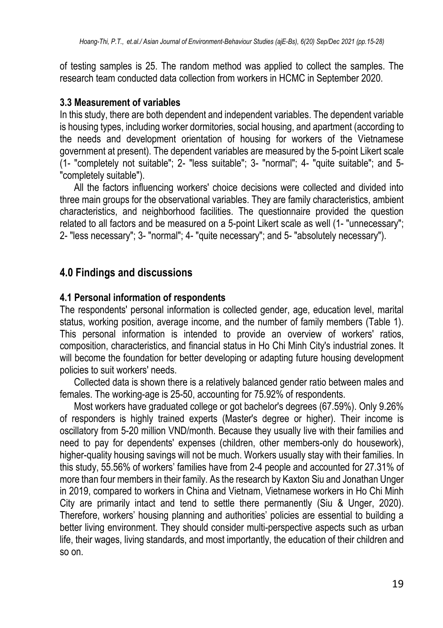of testing samples is 25. The random method was applied to collect the samples. The research team conducted data collection from workers in HCMC in September 2020.

#### **3.3 Measurement of variables**

In this study, there are both dependent and independent variables. The dependent variable is housing types, including worker dormitories, social housing, and apartment (according to the needs and development orientation of housing for workers of the Vietnamese government at present). The dependent variables are measured by the 5-point Likert scale (1- "completely not suitable"; 2- "less suitable"; 3- "normal"; 4- "quite suitable"; and 5- "completely suitable").

All the factors influencing workers' choice decisions were collected and divided into three main groups for the observational variables. They are family characteristics, ambient characteristics, and neighborhood facilities. The questionnaire provided the question related to all factors and be measured on a 5-point Likert scale as well (1- "unnecessary"; 2- "less necessary"; 3- "normal"; 4- "quite necessary"; and 5- "absolutely necessary").

# **4.0 Findings and discussions**

#### **4.1 Personal information of respondents**

The respondents' personal information is collected gender, age, education level, marital status, working position, average income, and the number of family members (Table 1). This personal information is intended to provide an overview of workers' ratios, composition, characteristics, and financial status in Ho Chi Minh City's industrial zones. It will become the foundation for better developing or adapting future housing development policies to suit workers' needs.

Collected data is shown there is a relatively balanced gender ratio between males and females. The working-age is 25-50, accounting for 75.92% of respondents.

Most workers have graduated college or got bachelor's degrees (67.59%). Only 9.26% of responders is highly trained experts (Master's degree or higher). Their income is oscillatory from 5-20 million VND/month. Because they usually live with their families and need to pay for dependents' expenses (children, other members-only do housework), higher-quality housing savings will not be much. Workers usually stay with their families. In this study, 55.56% of workers' families have from 2-4 people and accounted for 27.31% of more than four members in their family. As the research by Kaxton Siu and Jonathan Unger in 2019, compared to workers in China and Vietnam, Vietnamese workers in Ho Chi Minh City are primarily intact and tend to settle there permanently (Siu & Unger, 2020). Therefore, workers' housing planning and authorities' policies are essential to building a better living environment. They should consider multi-perspective aspects such as urban life, their wages, living standards, and most importantly, the education of their children and so on.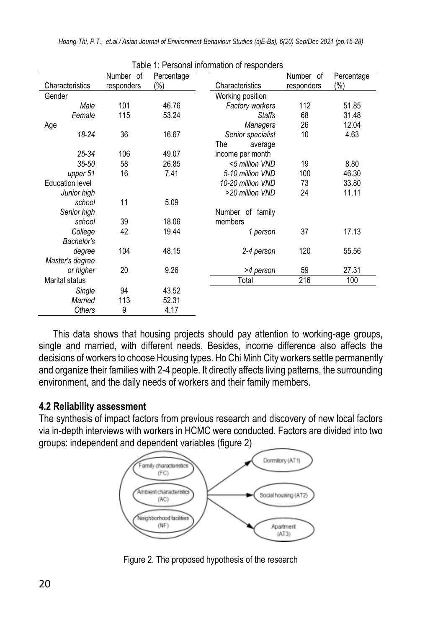| Table 1: Personal information of responders |            |            |                        |            |            |
|---------------------------------------------|------------|------------|------------------------|------------|------------|
|                                             | Number of  | Percentage |                        | Number of  | Percentage |
| Characteristics                             | responders | $(\% )$    | Characteristics        | responders | (%)        |
| Gender                                      |            |            | Working position       |            |            |
| Male                                        | 101        | 46.76      | <b>Factory workers</b> | 112        | 51.85      |
| Female                                      | 115        | 53.24      | <b>Staffs</b>          | 68         | 31.48      |
| Age                                         |            |            | <b>Managers</b>        | 26         | 12.04      |
| 18-24                                       | 36         | 16.67      | Senior specialist      | 10         | 4.63       |
|                                             |            |            | The<br>average         |            |            |
| $25 - 34$                                   | 106        | 49.07      | income per month       |            |            |
| $35 - 50$                                   | 58         | 26.85      | <5 million VND         | 19         | 8.80       |
| upper 51                                    | 16         | 7.41       | 5-10 million VND       | 100        | 46.30      |
| <b>Education level</b>                      |            |            | 10-20 million VND      | 73         | 33.80      |
| Junior high                                 |            |            | >20 million VND        | 24         | 11.11      |
| school                                      | 11         | 5.09       |                        |            |            |
| Senior high                                 |            |            | Number of family       |            |            |
| school                                      | 39         | 18.06      | members                |            |            |
| College                                     | 42         | 19.44      | 1 person               | 37         | 17.13      |
| Bachelor's                                  |            |            |                        |            |            |
| degree                                      | 104        | 48.15      | 2-4 person             | 120        | 55.56      |
| Master's degree                             |            |            |                        |            |            |
| or higher                                   | 20         | 9.26       | >4 person              | 59         | 27.31      |
| <b>Marital status</b>                       |            |            | Total                  | 216        | 100        |
| Single                                      | 94         | 43.52      |                        |            |            |
| Married                                     | 113        | 52.31      |                        |            |            |
| <b>Others</b>                               | 9          | 4.17       |                        |            |            |

This data shows that housing projects should pay attention to working-age groups, single and married, with different needs. Besides, income difference also affects the decisions of workers to choose Housing types. Ho Chi Minh City workers settle permanently and organize their families with 2-4 people. It directly affects living patterns, the surrounding environment, and the daily needs of workers and their family members.

## **4.2 Reliability assessment**

The synthesis of impact factors from previous research and discovery of new local factors via in-depth interviews with workers in HCMC were conducted. Factors are divided into two groups: independent and dependent variables (figure 2)



Figure 2. The proposed hypothesis of the research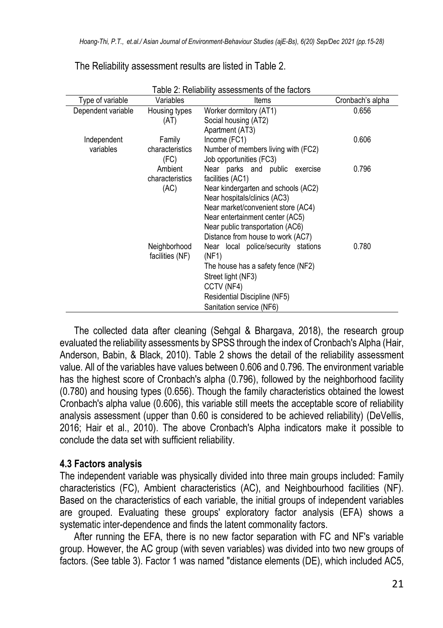| Table 2: Reliability assessments of the factors |                 |                                     |                  |  |
|-------------------------------------------------|-----------------|-------------------------------------|------------------|--|
| Type of variable                                | Variables       | Items                               | Cronbach's alpha |  |
| Dependent variable                              | Housing types   | Worker dormitory (AT1)              | 0.656            |  |
|                                                 | (AT)            | Social housing (AT2)                |                  |  |
|                                                 |                 | Apartment (AT3)                     |                  |  |
| Independent                                     | Family          | Income (FC1)                        | 0.606            |  |
| variables                                       | characteristics | Number of members living with (FC2) |                  |  |
|                                                 | (FC)            | Job opportunities (FC3)             |                  |  |
|                                                 | Ambient         | Near parks and public exercise      | 0.796            |  |
|                                                 | characteristics | facilities (AC1)                    |                  |  |
|                                                 | (AC)            | Near kindergarten and schools (AC2) |                  |  |
|                                                 |                 | Near hospitals/clinics (AC3)        |                  |  |
|                                                 |                 | Near market/convenient store (AC4)  |                  |  |
|                                                 |                 | Near entertainment center (AC5)     |                  |  |
|                                                 |                 | Near public transportation (AC6)    |                  |  |
|                                                 |                 | Distance from house to work (AC7)   |                  |  |
|                                                 | Neighborhood    | Near local police/security stations | 0.780            |  |
|                                                 | facilities (NF) | (NF1)                               |                  |  |
|                                                 |                 | The house has a safety fence (NF2)  |                  |  |
|                                                 |                 | Street light (NF3)                  |                  |  |
|                                                 |                 | CCTV (NF4)                          |                  |  |
|                                                 |                 | Residential Discipline (NF5)        |                  |  |
|                                                 |                 | Sanitation service (NF6)            |                  |  |

The Reliability assessment results are listed in Table 2.

The collected data after cleaning (Sehgal & Bhargava, 2018), the research group evaluated the reliability assessments by SPSS through the index of Cronbach's Alpha (Hair, Anderson, Babin, & Black, 2010). Table 2 shows the detail of the reliability assessment value. All of the variables have values between 0.606 and 0.796. The environment variable has the highest score of Cronbach's alpha (0.796), followed by the neighborhood facility (0.780) and housing types (0.656). Though the family characteristics obtained the lowest Cronbach's alpha value (0.606), this variable still meets the acceptable score of reliability analysis assessment (upper than 0.60 is considered to be achieved reliability) (DeVellis, 2016; Hair et al., 2010). The above Cronbach's Alpha indicators make it possible to conclude the data set with sufficient reliability.

## **4.3 Factors analysis**

The independent variable was physically divided into three main groups included: Family characteristics (FC), Ambient characteristics (AC), and Neighbourhood facilities (NF). Based on the characteristics of each variable, the initial groups of independent variables are grouped. Evaluating these groups' exploratory factor analysis (EFA) shows a systematic inter-dependence and finds the latent commonality factors.

After running the EFA, there is no new factor separation with FC and NF's variable group. However, the AC group (with seven variables) was divided into two new groups of factors. (See table 3). Factor 1 was named "distance elements (DE), which included AC5,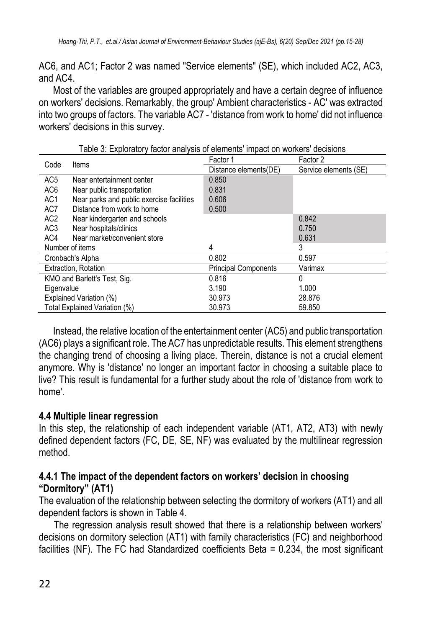AC6, and AC1; Factor 2 was named "Service elements" (SE), which included AC2, AC3, and AC4.

Most of the variables are grouped appropriately and have a certain degree of influence on workers' decisions. Remarkably, the group' Ambient characteristics - AC' was extracted into two groups of factors. The variable AC7 - 'distance from work to home' did not influence workers' decisions in this survey.

| Code                          | Items                                     | Factor 1                    | Factor 2              |
|-------------------------------|-------------------------------------------|-----------------------------|-----------------------|
|                               |                                           | Distance elements(DE)       | Service elements (SE) |
| AC <sub>5</sub>               | Near entertainment center                 | 0.850                       |                       |
| AC <sub>6</sub>               | Near public transportation                | 0.831                       |                       |
| AC <sub>1</sub>               | Near parks and public exercise facilities | 0.606                       |                       |
| AC7                           | Distance from work to home                | 0.500                       |                       |
| AC <sub>2</sub>               | Near kindergarten and schools             |                             | 0.842                 |
| AC <sub>3</sub>               | Near hospitals/clinics                    |                             | 0.750                 |
| AC4                           | Near market/convenient store              |                             | 0.631                 |
|                               | Number of items                           | 4                           | 3                     |
|                               | Cronbach's Alpha                          | 0.802                       | 0.597                 |
|                               | Extraction, Rotation                      | <b>Principal Components</b> | Varimax               |
| KMO and Barlett's Test, Sig.  |                                           | 0.816                       | 0                     |
| Eigenvalue                    |                                           | 3.190                       | 1.000                 |
| Explained Variation (%)       |                                           | 30.973                      | 28.876                |
| Total Explained Variation (%) |                                           | 30.973                      | 59.850                |

Table 3: Exploratory factor analysis of elements' impact on workers' decisions

Instead, the relative location of the entertainment center (AC5) and public transportation (AC6) plays a significant role. The AC7 has unpredictable results. This element strengthens the changing trend of choosing a living place. Therein, distance is not a crucial element anymore. Why is 'distance' no longer an important factor in choosing a suitable place to live? This result is fundamental for a further study about the role of 'distance from work to home'.

#### **4.4 Multiple linear regression**

In this step, the relationship of each independent variable (AT1, AT2, AT3) with newly defined dependent factors (FC, DE, SE, NF) was evaluated by the multilinear regression method.

#### **4.4.1 The impact of the dependent factors on workers' decision in choosing "Dormitory" (AT1)**

The evaluation of the relationship between selecting the dormitory of workers (AT1) and all dependent factors is shown in Table 4.

The regression analysis result showed that there is a relationship between workers' decisions on dormitory selection (AT1) with family characteristics (FC) and neighborhood facilities (NF). The FC had Standardized coefficients Beta = 0.234, the most significant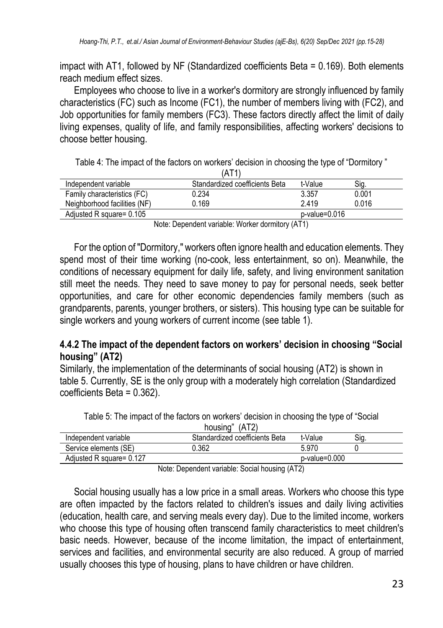impact with AT1, followed by NF (Standardized coefficients Beta = 0.169). Both elements reach medium effect sizes.

Employees who choose to live in a worker's dormitory are strongly influenced by family characteristics (FC) such as Income (FC1), the number of members living with (FC2), and Job opportunities for family members (FC3). These factors directly affect the limit of daily living expenses, quality of life, and family responsibilities, affecting workers' decisions to choose better housing.

Table 4: The impact of the factors on workers' decision in choosing the type of "Dormitory "

|                              | (AT1                           |               |       |
|------------------------------|--------------------------------|---------------|-------|
| Independent variable         | Standardized coefficients Beta | t-Value       | Sig.  |
| Family characteristics (FC)  | 0.234                          | 3.357         | 0.001 |
| Neighborhood facilities (NF) | 0.169                          | 2.419         | 0.016 |
| Adiusted R square= 0.105     |                                | p-value=0.016 |       |

Note: Dependent variable: Worker dormitory (AT1)

For the option of "Dormitory," workers often ignore health and education elements. They spend most of their time working (no-cook, less entertainment, so on). Meanwhile, the conditions of necessary equipment for daily life, safety, and living environment sanitation still meet the needs. They need to save money to pay for personal needs, seek better opportunities, and care for other economic dependencies family members (such as grandparents, parents, younger brothers, or sisters). This housing type can be suitable for single workers and young workers of current income (see table 1).

#### **4.4.2 The impact of the dependent factors on workers' decision in choosing "Social housing" (AT2)**

Similarly, the implementation of the determinants of social housing (AT2) is shown in table 5. Currently, SE is the only group with a moderately high correlation (Standardized coefficients Beta = 0.362).

| Table 5: The impact of the factors on workers' decision in choosing the type of "Social" |
|------------------------------------------------------------------------------------------|
| housing" (AT2)                                                                           |

|                          | ,,,,,,,,,,,<br>11 1 1 <b>4</b> 1 |               |     |
|--------------------------|----------------------------------|---------------|-----|
| Independent variable     | Standardized coefficients Beta   | t-Value       | Sia |
| Service elements (SE)    | 0.362                            | 5.970         |     |
| Adjusted R square= 0.127 |                                  | p-value=0.000 |     |
|                          |                                  |               |     |

Note: Dependent variable: Social housing (AT2)

Social housing usually has a low price in a small areas. Workers who choose this type are often impacted by the factors related to children's issues and daily living activities (education, health care, and serving meals every day). Due to the limited income, workers who choose this type of housing often transcend family characteristics to meet children's basic needs. However, because of the income limitation, the impact of entertainment, services and facilities, and environmental security are also reduced. A group of married usually chooses this type of housing, plans to have children or have children.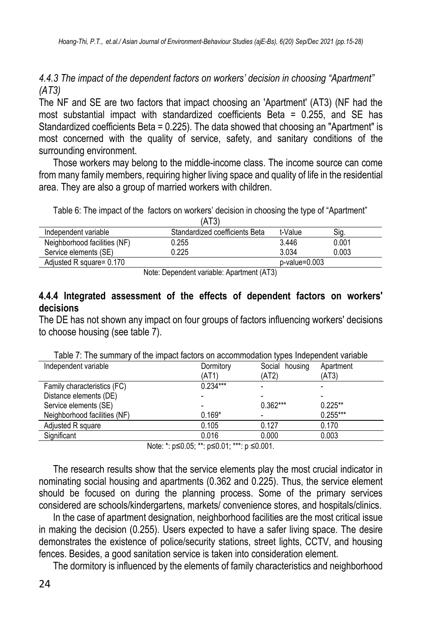*4.4.3 The impact of the dependent factors on workers' decision in choosing "Apartment" (AT3)*

The NF and SE are two factors that impact choosing an 'Apartment' (AT3) (NF had the most substantial impact with standardized coefficients Beta = 0.255, and SE has Standardized coefficients Beta = 0.225). The data showed that choosing an "Apartment" is most concerned with the quality of service, safety, and sanitary conditions of the surrounding environment.

Those workers may belong to the middle-income class. The income source can come from many family members, requiring higher living space and quality of life in the residential area. They are also a group of married workers with children.

Table 6: The impact of the factors on workers' decision in choosing the type of "Apartment"

| (AT3)                                     |                                |                 |       |  |
|-------------------------------------------|--------------------------------|-----------------|-------|--|
| Independent variable                      | Standardized coefficients Beta | t-Value         | Sig.  |  |
| Neighborhood facilities (NF)              | 0.255                          | 3.446           | 0.001 |  |
| Service elements (SE)                     | 0.225                          | 3.034           | 0.003 |  |
| Adiusted R square= 0.170                  |                                | $p-value=0.003$ |       |  |
| Note: Depardent usrighle: Apartment (AT2) |                                |                 |       |  |

Note: Dependent variable: Apartment (AT3)

#### **4.4.4 Integrated assessment of the effects of dependent factors on workers' decisions**

The DE has not shown any impact on four groups of factors influencing workers' decisions to choose housing (see table 7).

| Table 7. The Summary of the impact factors on accommodation types intependent variable |            |                |            |  |
|----------------------------------------------------------------------------------------|------------|----------------|------------|--|
| Independent variable                                                                   | Dormitory  | Social housing | Apartment  |  |
|                                                                                        | (AT1)      | (AT2)          | (AT3)      |  |
| Family characteristics (FC)                                                            | $0.234***$ |                |            |  |
| Distance elements (DE)                                                                 |            |                |            |  |
| Service elements (SE)                                                                  |            | $0.362***$     | $0.225***$ |  |
| Neighborhood facilities (NF)                                                           | $0.169*$   |                | $0.255***$ |  |
| Adjusted R square                                                                      | 0.105      | 0.127          | 0.170      |  |
| Significant                                                                            | 0.016      | 0.000          | 0.003      |  |
|                                                                                        |            |                |            |  |

Table 7: The summary of the impact factors on accommodation types Independent variable

Note: \*: p≤0.05: \*\*: p≤0.01: \*\*\*: p ≤0.001.

The research results show that the service elements play the most crucial indicator in nominating social housing and apartments (0.362 and 0.225). Thus, the service element should be focused on during the planning process. Some of the primary services considered are schools/kindergartens, markets/ convenience stores, and hospitals/clinics.

In the case of apartment designation, neighborhood facilities are the most critical issue in making the decision (0.255). Users expected to have a safer living space. The desire demonstrates the existence of police/security stations, street lights, CCTV, and housing fences. Besides, a good sanitation service is taken into consideration element.

The dormitory is influenced by the elements of family characteristics and neighborhood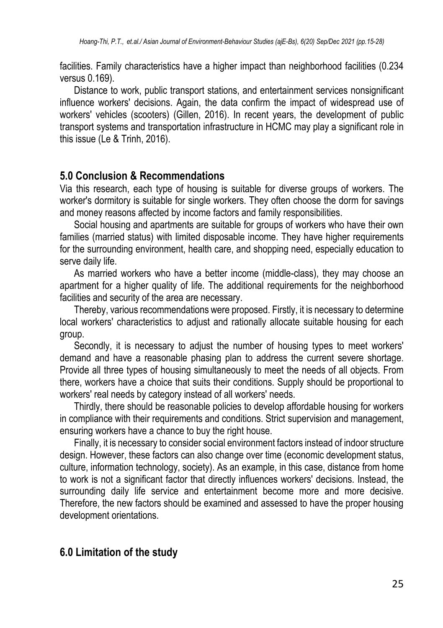facilities. Family characteristics have a higher impact than neighborhood facilities (0.234 versus 0.169).

Distance to work, public transport stations, and entertainment services nonsignificant influence workers' decisions. Again, the data confirm the impact of widespread use of workers' vehicles (scooters) (Gillen, 2016). In recent years, the development of public transport systems and transportation infrastructure in HCMC may play a significant role in this issue (Le & Trinh, 2016).

## **5.0 Conclusion & Recommendations**

Via this research, each type of housing is suitable for diverse groups of workers. The worker's dormitory is suitable for single workers. They often choose the dorm for savings and money reasons affected by income factors and family responsibilities.

Social housing and apartments are suitable for groups of workers who have their own families (married status) with limited disposable income. They have higher requirements for the surrounding environment, health care, and shopping need, especially education to serve daily life.

As married workers who have a better income (middle-class), they may choose an apartment for a higher quality of life. The additional requirements for the neighborhood facilities and security of the area are necessary.

Thereby, various recommendations were proposed. Firstly, it is necessary to determine local workers' characteristics to adjust and rationally allocate suitable housing for each group.

Secondly, it is necessary to adjust the number of housing types to meet workers' demand and have a reasonable phasing plan to address the current severe shortage. Provide all three types of housing simultaneously to meet the needs of all objects. From there, workers have a choice that suits their conditions. Supply should be proportional to workers' real needs by category instead of all workers' needs.

Thirdly, there should be reasonable policies to develop affordable housing for workers in compliance with their requirements and conditions. Strict supervision and management, ensuring workers have a chance to buy the right house.

Finally, it is necessary to consider social environment factors instead of indoor structure design. However, these factors can also change over time (economic development status, culture, information technology, society). As an example, in this case, distance from home to work is not a significant factor that directly influences workers' decisions. Instead, the surrounding daily life service and entertainment become more and more decisive. Therefore, the new factors should be examined and assessed to have the proper housing development orientations.

# **6.0 Limitation of the study**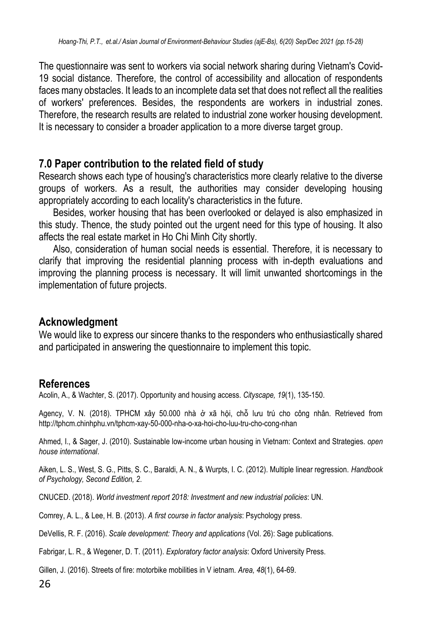The questionnaire was sent to workers via social network sharing during Vietnam's Covid-19 social distance. Therefore, the control of accessibility and allocation of respondents faces many obstacles. It leads to an incomplete data set that does not reflect all the realities of workers' preferences. Besides, the respondents are workers in industrial zones. Therefore, the research results are related to industrial zone worker housing development. It is necessary to consider a broader application to a more diverse target group.

# **7.0 Paper contribution to the related field of study**

Research shows each type of housing's characteristics more clearly relative to the diverse groups of workers. As a result, the authorities may consider developing housing appropriately according to each locality's characteristics in the future.

Besides, worker housing that has been overlooked or delayed is also emphasized in this study. Thence, the study pointed out the urgent need for this type of housing. It also affects the real estate market in Ho Chi Minh City shortly.

Also, consideration of human social needs is essential. Therefore, it is necessary to clarify that improving the residential planning process with in-depth evaluations and improving the planning process is necessary. It will limit unwanted shortcomings in the implementation of future projects.

## **Acknowledgment**

We would like to express our sincere thanks to the responders who enthusiastically shared and participated in answering the questionnaire to implement this topic.

## **References**

Acolin, A., & Wachter, S. (2017). Opportunity and housing access. *Cityscape, 19*(1), 135-150.

Agency, V. N. (2018). TPHCM xây 50.000 nhà ở xã hội, chỗ lưu trú cho công nhân. Retrieved from <http://tphcm.chinhphu.vn/tphcm-xay-50-000-nha-o-xa-hoi-cho-luu-tru-cho-cong-nhan>

Ahmed, I., & Sager, J. (2010). Sustainable low-income urban housing in Vietnam: Context and Strategies. *open house international*.

Aiken, L. S., West, S. G., Pitts, S. C., Baraldi, A. N., & Wurpts, I. C. (2012). Multiple linear regression. *Handbook of Psychology, Second Edition, 2*.

CNUCED. (2018). *World investment report 2018: Investment and new industrial policies*: UN.

Comrey, A. L., & Lee, H. B. (2013). *A first course in factor analysis*: Psychology press.

DeVellis, R. F. (2016). *Scale development: Theory and applications* (Vol. 26): Sage publications.

Fabrigar, L. R., & Wegener, D. T. (2011). *Exploratory factor analysis*: Oxford University Press.

Gillen, J. (2016). Streets of fire: motorbike mobilities in V ietnam. *Area, 48*(1), 64-69.

26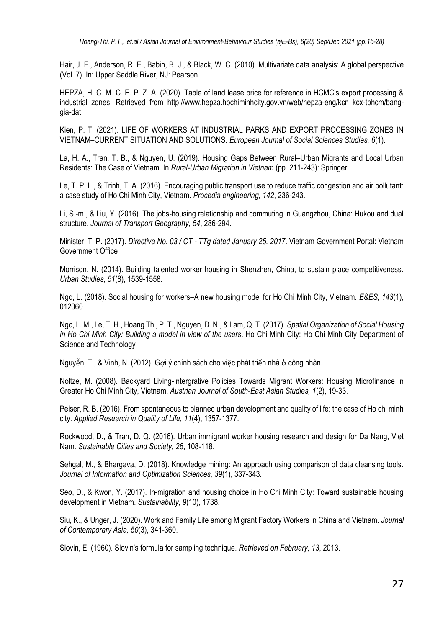Hair, J. F., Anderson, R. E., Babin, B. J., & Black, W. C. (2010). Multivariate data analysis: A global perspective (Vol. 7). In: Upper Saddle River, NJ: Pearson.

HEPZA, H. C. M. C. E. P. Z. A. (2020). Table of land lease price for reference in HCMC's export processing & industrial zones. Retrieved from [http://www.hepza.hochiminhcity.gov.vn/web/hepza-eng/kcn\\_kcx-tphcm/bang](http://www.hepza.hochiminhcity.gov.vn/web/hepza-eng/kcn_kcx-tphcm/bang-gia-dat)[gia-dat](http://www.hepza.hochiminhcity.gov.vn/web/hepza-eng/kcn_kcx-tphcm/bang-gia-dat)

Kien, P. T. (2021). LIFE OF WORKERS AT INDUSTRIAL PARKS AND EXPORT PROCESSING ZONES IN VIETNAM–CURRENT SITUATION AND SOLUTIONS. *European Journal of Social Sciences Studies, 6*(1).

La, H. A., Tran, T. B., & Nguyen, U. (2019). Housing Gaps Between Rural–Urban Migrants and Local Urban Residents: The Case of Vietnam. In *Rural-Urban Migration in Vietnam* (pp. 211-243): Springer.

Le, T. P. L., & Trinh, T. A. (2016). Encouraging public transport use to reduce traffic congestion and air pollutant: a case study of Ho Chi Minh City, Vietnam. *Procedia engineering, 142*, 236-243.

Li, S.-m., & Liu, Y. (2016). The jobs-housing relationship and commuting in Guangzhou, China: Hukou and dual structure. *Journal of Transport Geography, 54*, 286-294.

Minister, T. P. (2017). *Directive No. 03 / CT - TTg dated January 25, 2017*. Vietnam Government Portal: Vietnam Government Office

Morrison, N. (2014). Building talented worker housing in Shenzhen, China, to sustain place competitiveness. *Urban Studies, 51*(8), 1539-1558.

Ngo, L. (2018). Social housing for workers–A new housing model for Ho Chi Minh City, Vietnam. *E&ES, 143*(1), 012060.

Ngo, L. M., Le, T. H., Hoang Thi, P. T., Nguyen, D. N., & Lam, Q. T. (2017). *Spatial Organization of Social Housing in Ho Chi Minh City: Building a model in view of the users*. Ho Chi Minh City: Ho Chi Minh City Department of Science and Technology

Nguyễn, T., & Vinh, N. (2012). Gợi ý chính sách cho việc phát triển nhà ở công nhân.

Noltze, M. (2008). Backyard Living-Intergrative Policies Towards Migrant Workers: Housing Microfinance in Greater Ho Chi Minh City, Vietnam. *Austrian Journal of South-East Asian Studies, 1*(2), 19-33.

Peiser, R. B. (2016). From spontaneous to planned urban development and quality of life: the case of Ho chi minh city. *Applied Research in Quality of Life, 11*(4), 1357-1377.

Rockwood, D., & Tran, D. Q. (2016). Urban immigrant worker housing research and design for Da Nang, Viet Nam. *Sustainable Cities and Society, 26*, 108-118.

Sehgal, M., & Bhargava, D. (2018). Knowledge mining: An approach using comparison of data cleansing tools. *Journal of Information and Optimization Sciences, 39*(1), 337-343.

Seo, D., & Kwon, Y. (2017). In-migration and housing choice in Ho Chi Minh City: Toward sustainable housing development in Vietnam. *Sustainability, 9*(10), 1738.

Siu, K., & Unger, J. (2020). Work and Family Life among Migrant Factory Workers in China and Vietnam. *Journal of Contemporary Asia, 50*(3), 341-360.

Slovin, E. (1960). Slovin's formula for sampling technique. *Retrieved on February, 13*, 2013.